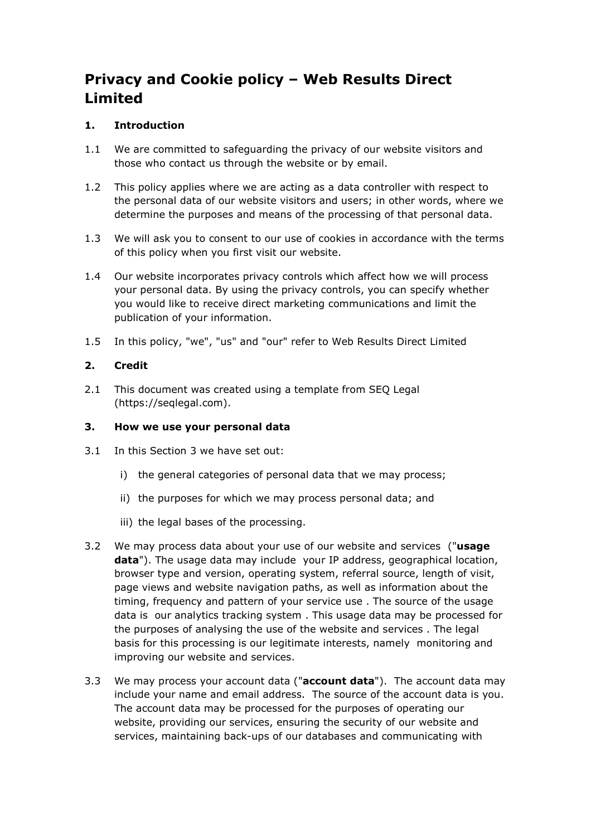# **Privacy and Cookie policy – Web Results Direct Limited**

# **1. Introduction**

- 1.1 We are committed to safeguarding the privacy of our website visitors and those who contact us through the website or by email.
- 1.2 This policy applies where we are acting as a data controller with respect to the personal data of our website visitors and users; in other words, where we determine the purposes and means of the processing of that personal data.
- 1.3 We will ask you to consent to our use of cookies in accordance with the terms of this policy when you first visit our website.
- 1.4 Our website incorporates privacy controls which affect how we will process your personal data. By using the privacy controls, you can specify whether you would like to receive direct marketing communications and limit the publication of your information.
- 1.5 In this policy, "we", "us" and "our" refer to Web Results Direct Limited

## **2. Credit**

2.1 This document was created using a template from SEQ Legal (https://seqlegal.com).

#### **3. How we use your personal data**

- 3.1 In this Section 3 we have set out:
	- i) the general categories of personal data that we may process;
	- ii) the purposes for which we may process personal data; and
	- iii) the legal bases of the processing.
- 3.2 We may process data about your use of our website and services ("**usage data**"). The usage data may include your IP address, geographical location, browser type and version, operating system, referral source, length of visit, page views and website navigation paths, as well as information about the timing, frequency and pattern of your service use . The source of the usage data is our analytics tracking system . This usage data may be processed for the purposes of analysing the use of the website and services . The legal basis for this processing is our legitimate interests, namely monitoring and improving our website and services.
- 3.3 We may process your account data ("**account data**"). The account data may include your name and email address. The source of the account data is you. The account data may be processed for the purposes of operating our website, providing our services, ensuring the security of our website and services, maintaining back-ups of our databases and communicating with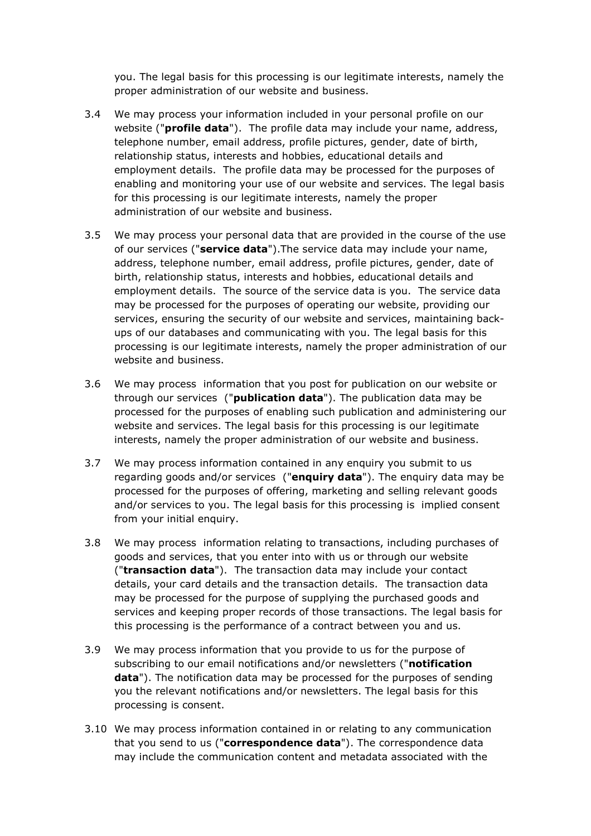you. The legal basis for this processing is our legitimate interests, namely the proper administration of our website and business.

- 3.4 We may process your information included in your personal profile on our website ("**profile data**"). The profile data may include your name, address, telephone number, email address, profile pictures, gender, date of birth, relationship status, interests and hobbies, educational details and employment details. The profile data may be processed for the purposes of enabling and monitoring your use of our website and services. The legal basis for this processing is our legitimate interests, namely the proper administration of our website and business.
- 3.5 We may process your personal data that are provided in the course of the use of our services ("**service data**").The service data may include your name, address, telephone number, email address, profile pictures, gender, date of birth, relationship status, interests and hobbies, educational details and employment details. The source of the service data is you. The service data may be processed for the purposes of operating our website, providing our services, ensuring the security of our website and services, maintaining backups of our databases and communicating with you. The legal basis for this processing is our legitimate interests, namely the proper administration of our website and business.
- 3.6 We may process information that you post for publication on our website or through our services ("**publication data**"). The publication data may be processed for the purposes of enabling such publication and administering our website and services. The legal basis for this processing is our legitimate interests, namely the proper administration of our website and business.
- 3.7 We may process information contained in any enquiry you submit to us regarding goods and/or services ("**enquiry data**"). The enquiry data may be processed for the purposes of offering, marketing and selling relevant goods and/or services to you. The legal basis for this processing is implied consent from your initial enquiry.
- 3.8 We may process information relating to transactions, including purchases of goods and services, that you enter into with us or through our website ("**transaction data**"). The transaction data may include your contact details, your card details and the transaction details. The transaction data may be processed for the purpose of supplying the purchased goods and services and keeping proper records of those transactions. The legal basis for this processing is the performance of a contract between you and us.
- 3.9 We may process information that you provide to us for the purpose of subscribing to our email notifications and/or newsletters ("**notification data**"). The notification data may be processed for the purposes of sending you the relevant notifications and/or newsletters. The legal basis for this processing is consent.
- 3.10 We may process information contained in or relating to any communication that you send to us ("**correspondence data**"). The correspondence data may include the communication content and metadata associated with the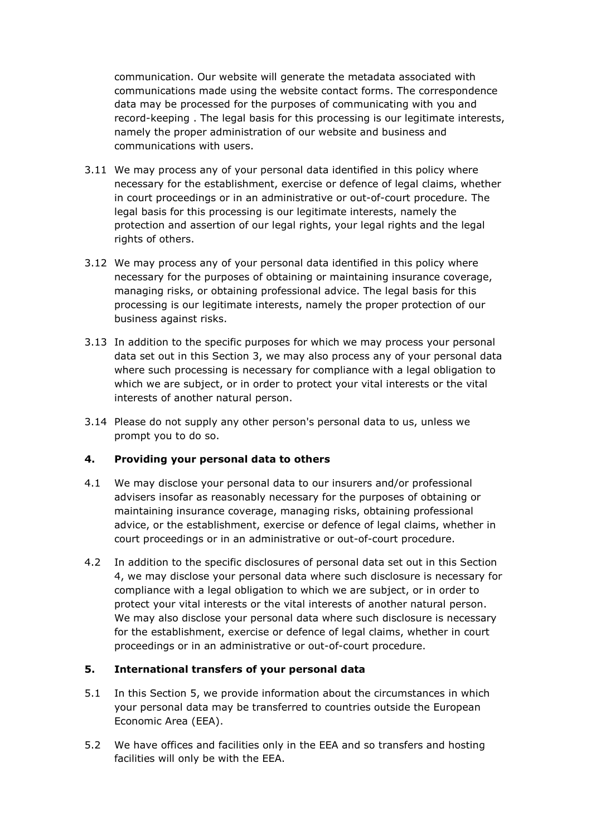communication. Our website will generate the metadata associated with communications made using the website contact forms. The correspondence data may be processed for the purposes of communicating with you and record-keeping . The legal basis for this processing is our legitimate interests, namely the proper administration of our website and business and communications with users.

- 3.11 We may process any of your personal data identified in this policy where necessary for the establishment, exercise or defence of legal claims, whether in court proceedings or in an administrative or out-of-court procedure. The legal basis for this processing is our legitimate interests, namely the protection and assertion of our legal rights, your legal rights and the legal rights of others.
- 3.12 We may process any of your personal data identified in this policy where necessary for the purposes of obtaining or maintaining insurance coverage, managing risks, or obtaining professional advice. The legal basis for this processing is our legitimate interests, namely the proper protection of our business against risks.
- 3.13 In addition to the specific purposes for which we may process your personal data set out in this Section 3, we may also process any of your personal data where such processing is necessary for compliance with a legal obligation to which we are subject, or in order to protect your vital interests or the vital interests of another natural person.
- 3.14 Please do not supply any other person's personal data to us, unless we prompt you to do so.

## **4. Providing your personal data to others**

- 4.1 We may disclose your personal data to our insurers and/or professional advisers insofar as reasonably necessary for the purposes of obtaining or maintaining insurance coverage, managing risks, obtaining professional advice, or the establishment, exercise or defence of legal claims, whether in court proceedings or in an administrative or out-of-court procedure.
- 4.2 In addition to the specific disclosures of personal data set out in this Section 4, we may disclose your personal data where such disclosure is necessary for compliance with a legal obligation to which we are subject, or in order to protect your vital interests or the vital interests of another natural person. We may also disclose your personal data where such disclosure is necessary for the establishment, exercise or defence of legal claims, whether in court proceedings or in an administrative or out-of-court procedure.

#### **5. International transfers of your personal data**

- 5.1 In this Section 5, we provide information about the circumstances in which your personal data may be transferred to countries outside the European Economic Area (EEA).
- 5.2 We have offices and facilities only in the EEA and so transfers and hosting facilities will only be with the EEA.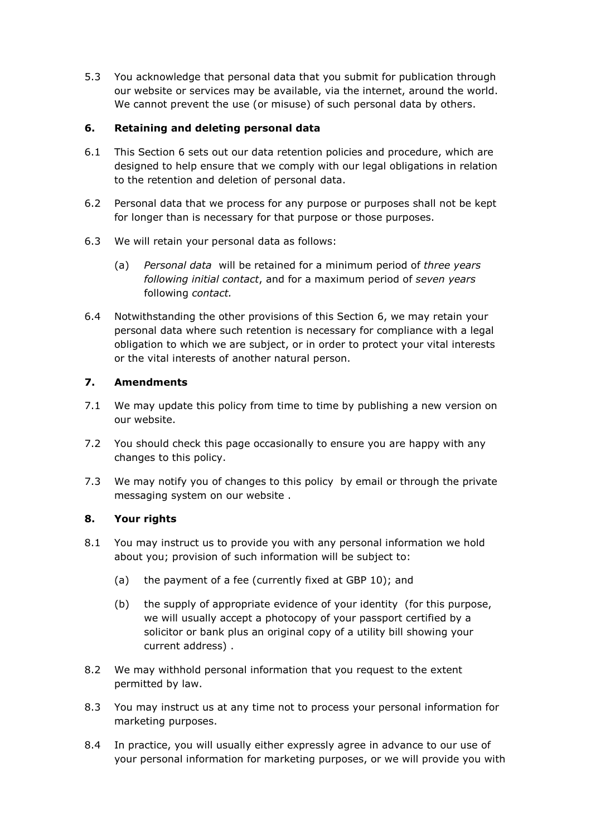5.3 You acknowledge that personal data that you submit for publication through our website or services may be available, via the internet, around the world. We cannot prevent the use (or misuse) of such personal data by others.

## **6. Retaining and deleting personal data**

- 6.1 This Section 6 sets out our data retention policies and procedure, which are designed to help ensure that we comply with our legal obligations in relation to the retention and deletion of personal data.
- 6.2 Personal data that we process for any purpose or purposes shall not be kept for longer than is necessary for that purpose or those purposes.
- 6.3 We will retain your personal data as follows:
	- (a) *Personal data* will be retained for a minimum period of *three years following initial contact*, and for a maximum period of *seven years*  following *contact.*
- 6.4 Notwithstanding the other provisions of this Section 6, we may retain your personal data where such retention is necessary for compliance with a legal obligation to which we are subject, or in order to protect your vital interests or the vital interests of another natural person.

## **7. Amendments**

- 7.1 We may update this policy from time to time by publishing a new version on our website.
- 7.2 You should check this page occasionally to ensure you are happy with any changes to this policy.
- 7.3 We may notify you of changes to this policy by email or through the private messaging system on our website .

## **8. Your rights**

- 8.1 You may instruct us to provide you with any personal information we hold about you; provision of such information will be subject to:
	- (a) the payment of a fee (currently fixed at GBP 10); and
	- (b) the supply of appropriate evidence of your identity (for this purpose, we will usually accept a photocopy of your passport certified by a solicitor or bank plus an original copy of a utility bill showing your current address) .
- 8.2 We may withhold personal information that you request to the extent permitted by law.
- 8.3 You may instruct us at any time not to process your personal information for marketing purposes.
- 8.4 In practice, you will usually either expressly agree in advance to our use of your personal information for marketing purposes, or we will provide you with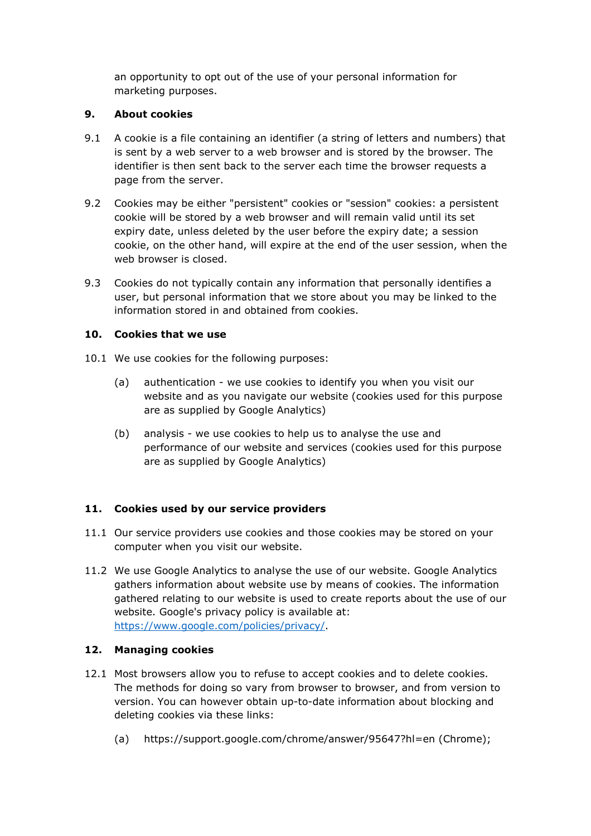an opportunity to opt out of the use of your personal information for marketing purposes.

## **9. About cookies**

- 9.1 A cookie is a file containing an identifier (a string of letters and numbers) that is sent by a web server to a web browser and is stored by the browser. The identifier is then sent back to the server each time the browser requests a page from the server.
- 9.2 Cookies may be either "persistent" cookies or "session" cookies: a persistent cookie will be stored by a web browser and will remain valid until its set expiry date, unless deleted by the user before the expiry date; a session cookie, on the other hand, will expire at the end of the user session, when the web browser is closed.
- 9.3 Cookies do not typically contain any information that personally identifies a user, but personal information that we store about you may be linked to the information stored in and obtained from cookies.

## **10. Cookies that we use**

- 10.1 We use cookies for the following purposes:
	- (a) authentication we use cookies to identify you when you visit our website and as you navigate our website (cookies used for this purpose are as supplied by Google Analytics)
	- (b) analysis we use cookies to help us to analyse the use and performance of our website and services (cookies used for this purpose are as supplied by Google Analytics)

## **11. Cookies used by our service providers**

- 11.1 Our service providers use cookies and those cookies may be stored on your computer when you visit our website.
- 11.2 We use Google Analytics to analyse the use of our website. Google Analytics gathers information about website use by means of cookies. The information gathered relating to our website is used to create reports about the use of our website. Google's privacy policy is available at: https://www.google.com/policies/privacy/.

## **12. Managing cookies**

- 12.1 Most browsers allow you to refuse to accept cookies and to delete cookies. The methods for doing so vary from browser to browser, and from version to version. You can however obtain up-to-date information about blocking and deleting cookies via these links:
	- (a) https://support.google.com/chrome/answer/95647?hl=en (Chrome);